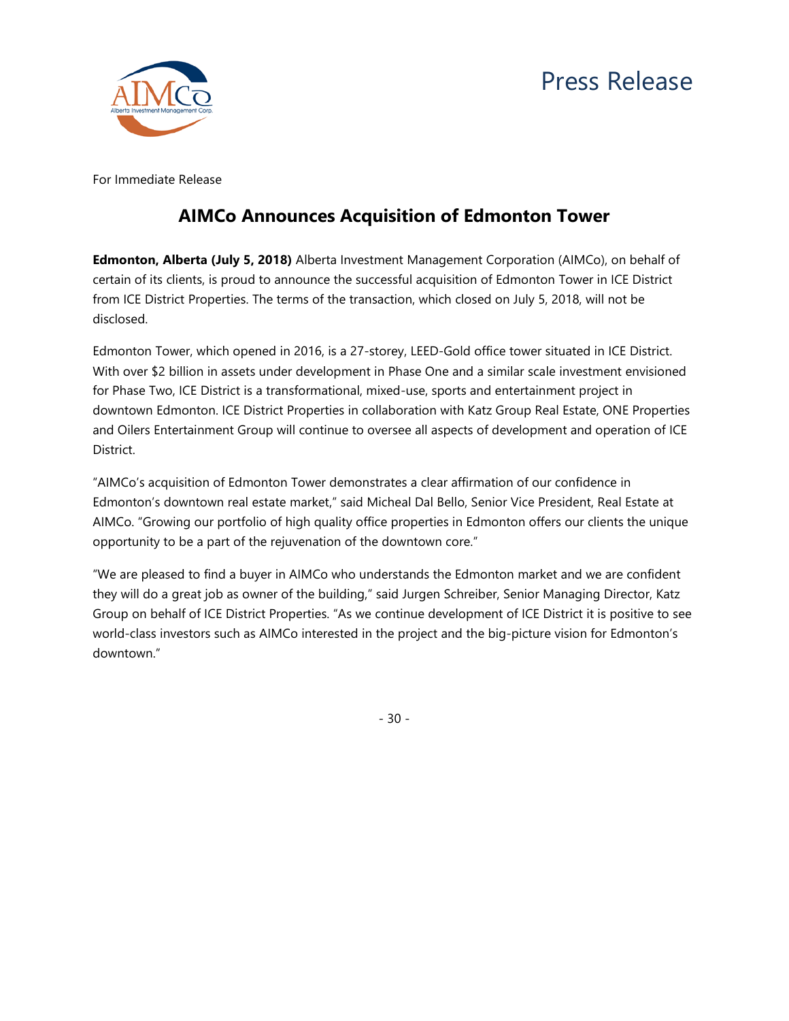



For Immediate Release

# **AIMCo Announces Acquisition of Edmonton Tower**

**Edmonton, Alberta (July 5, 2018)** Alberta Investment Management Corporation (AIMCo), on behalf of certain of its clients, is proud to announce the successful acquisition of Edmonton Tower in ICE District from ICE District Properties. The terms of the transaction, which closed on July 5, 2018, will not be disclosed.

Edmonton Tower, which opened in 2016, is a 27-storey, LEED-Gold office tower situated in ICE District. With over \$2 billion in assets under development in Phase One and a similar scale investment envisioned for Phase Two, ICE District is a transformational, mixed-use, sports and entertainment project in downtown Edmonton. ICE District Properties in collaboration with Katz Group Real Estate, ONE Properties and Oilers Entertainment Group will continue to oversee all aspects of development and operation of ICE District.

"AIMCo's acquisition of Edmonton Tower demonstrates a clear affirmation of our confidence in Edmonton's downtown real estate market," said Micheal Dal Bello, Senior Vice President, Real Estate at AIMCo. "Growing our portfolio of high quality office properties in Edmonton offers our clients the unique opportunity to be a part of the rejuvenation of the downtown core."

"We are pleased to find a buyer in AIMCo who understands the Edmonton market and we are confident they will do a great job as owner of the building," said Jurgen Schreiber, Senior Managing Director, Katz Group on behalf of ICE District Properties. "As we continue development of ICE District it is positive to see world-class investors such as AIMCo interested in the project and the big-picture vision for Edmonton's downtown."

- 30 -